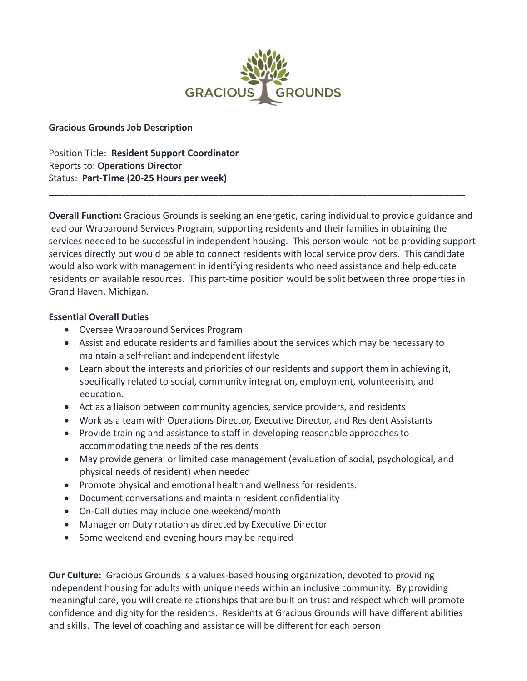

## **Gracious Grounds Job Description**

Position Title: **Resident Support Coordinator** Reports to: **Operations Director** Status: **Part-Time (20-25 Hours per week)**

**Overall Function:** Gracious Grounds is seeking an energetic, caring individual to provide guidance and lead our Wraparound Services Program, supporting residents and their families in obtaining the services needed to be successful in independent housing. This person would not be providing support services directly but would be able to connect residents with local service providers. This candidate would also work with management in identifying residents who need assistance and help educate residents on available resources. This part-time position would be split between three properties in Grand Haven, Michigan.

**\_\_\_\_\_\_\_\_\_\_\_\_\_\_\_\_\_\_\_\_\_\_\_\_\_\_\_\_\_\_\_\_\_\_\_\_\_\_\_\_\_\_\_\_\_\_\_\_\_\_\_\_\_\_\_\_\_\_\_\_\_\_\_\_\_\_\_\_\_\_\_\_\_\_\_\_\_\_\_\_\_**

## **Essential Overall Duties**

- Oversee Wraparound Services Program
- Assist and educate residents and families about the services which may be necessary to maintain a self-reliant and independent lifestyle
- Learn about the interests and priorities of our residents and support them in achieving it, specifically related to social, community integration, employment, volunteerism, and education.
- Act as a liaison between community agencies, service providers, and residents
- Work as a team with Operations Director, Executive Director, and Resident Assistants
- Provide training and assistance to staff in developing reasonable approaches to accommodating the needs of the residents
- May provide general or limited case management (evaluation of social, psychological, and physical needs of resident) when needed
- Promote physical and emotional health and wellness for residents.
- Document conversations and maintain resident confidentiality
- On-Call duties may include one weekend/month
- Manager on Duty rotation as directed by Executive Director
- Some weekend and evening hours may be required

**Our Culture:** Gracious Grounds is a values-based housing organization, devoted to providing independent housing for adults with unique needs within an inclusive community. By providing meaningful care, you will create relationships that are built on trust and respect which will promote confidence and dignity for the residents. Residents at Gracious Grounds will have different abilities and skills. The level of coaching and assistance will be different for each person